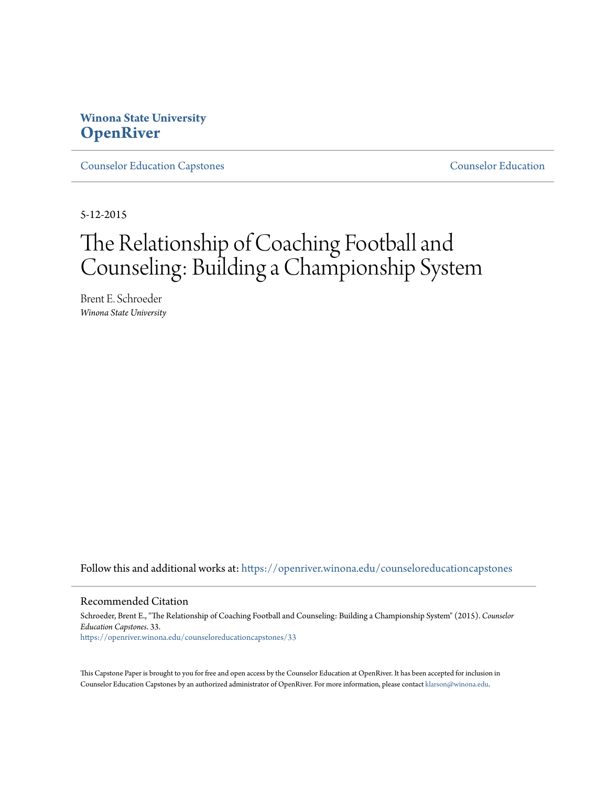# **Winona State University [OpenRiver](https://openriver.winona.edu?utm_source=openriver.winona.edu%2Fcounseloreducationcapstones%2F33&utm_medium=PDF&utm_campaign=PDFCoverPages)**

[Counselor Education Capstones](https://openriver.winona.edu/counseloreducationcapstones?utm_source=openriver.winona.edu%2Fcounseloreducationcapstones%2F33&utm_medium=PDF&utm_campaign=PDFCoverPages) [Counselor Education](https://openriver.winona.edu/counseloreducation?utm_source=openriver.winona.edu%2Fcounseloreducationcapstones%2F33&utm_medium=PDF&utm_campaign=PDFCoverPages)

5-12-2015

# The Relationship of Coaching Football and Counseling: Building a Championship System

Brent E. Schroeder *Winona State University*

Follow this and additional works at: [https://openriver.winona.edu/counseloreducationcapstones](https://openriver.winona.edu/counseloreducationcapstones?utm_source=openriver.winona.edu%2Fcounseloreducationcapstones%2F33&utm_medium=PDF&utm_campaign=PDFCoverPages)

#### Recommended Citation

Schroeder, Brent E., "The Relationship of Coaching Football and Counseling: Building a Championship System" (2015). *Counselor Education Capstones*. 33. [https://openriver.winona.edu/counseloreducationcapstones/33](https://openriver.winona.edu/counseloreducationcapstones/33?utm_source=openriver.winona.edu%2Fcounseloreducationcapstones%2F33&utm_medium=PDF&utm_campaign=PDFCoverPages)

This Capstone Paper is brought to you for free and open access by the Counselor Education at OpenRiver. It has been accepted for inclusion in Counselor Education Capstones by an authorized administrator of OpenRiver. For more information, please contact [klarson@winona.edu](mailto:klarson@winona.edu).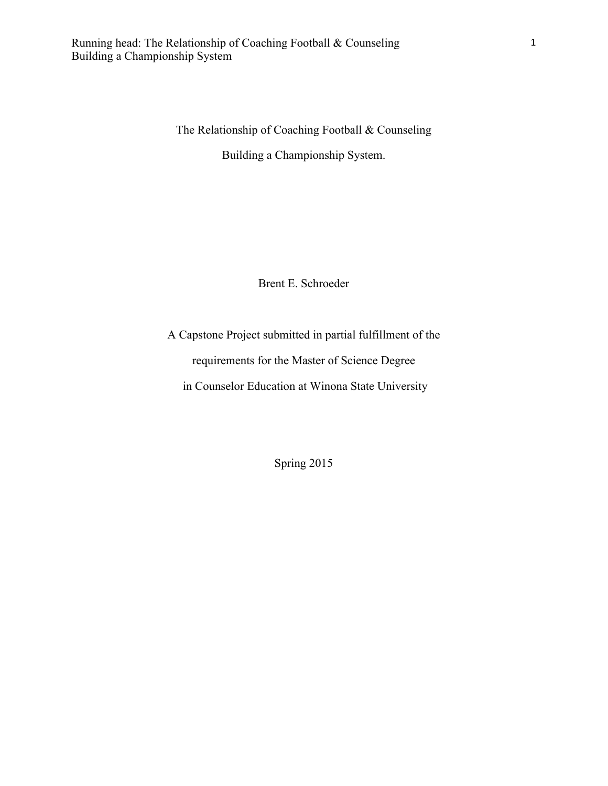The Relationship of Coaching Football & Counseling

Building a Championship System.

Brent E. Schroeder

A Capstone Project submitted in partial fulfillment of the requirements for the Master of Science Degree in Counselor Education at Winona State University

Spring 2015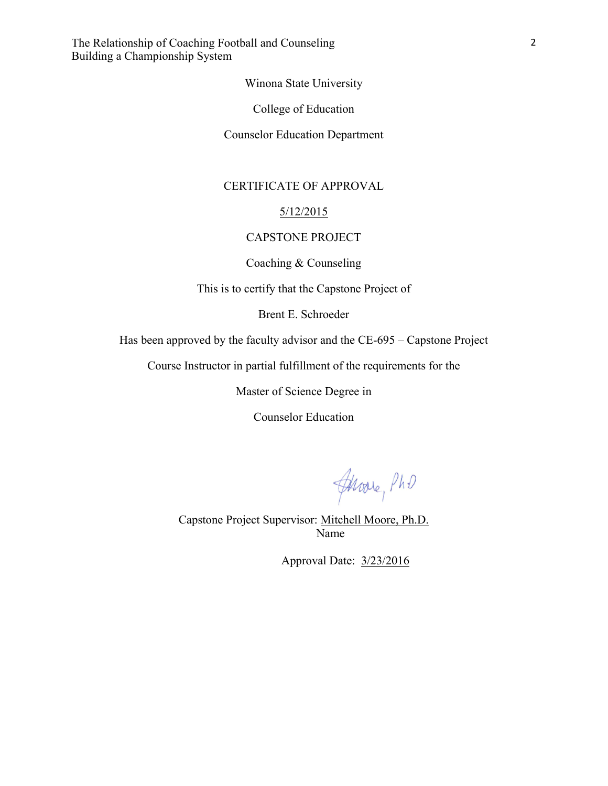Winona State University

College of Education

Counselor Education Department

## CERTIFICATE OF APPROVAL

#### 5/12/2015

## CAPSTONE PROJECT

Coaching & Counseling

This is to certify that the Capstone Project of

Brent E. Schroeder

Has been approved by the faculty advisor and the CE-695 – Capstone Project

Course Instructor in partial fulfillment of the requirements for the

Master of Science Degree in

Counselor Education

Javare, PhD

Capstone Project Supervisor: Mitchell Moore, Ph.D. Name

Approval Date: 3/23/2016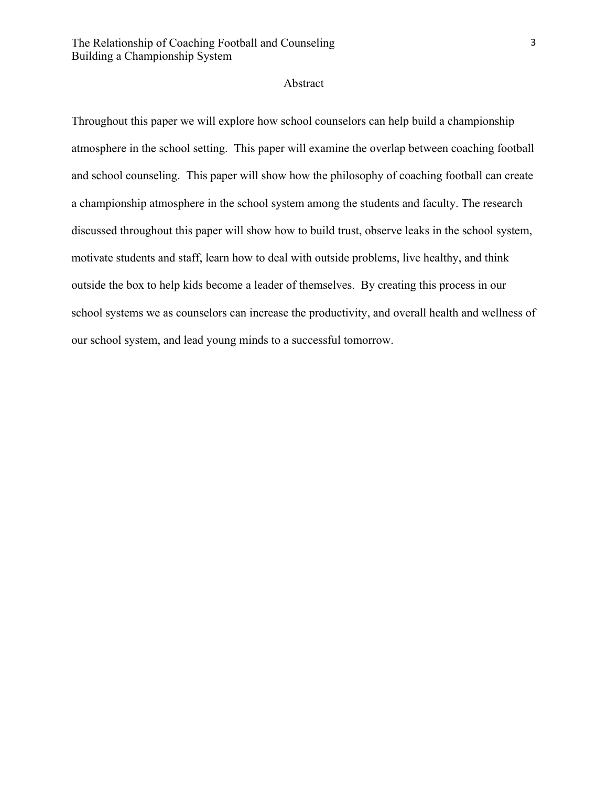#### Abstract

Throughout this paper we will explore how school counselors can help build a championship atmosphere in the school setting. This paper will examine the overlap between coaching football and school counseling. This paper will show how the philosophy of coaching football can create a championship atmosphere in the school system among the students and faculty. The research discussed throughout this paper will show how to build trust, observe leaks in the school system, motivate students and staff, learn how to deal with outside problems, live healthy, and think outside the box to help kids become a leader of themselves. By creating this process in our school systems we as counselors can increase the productivity, and overall health and wellness of our school system, and lead young minds to a successful tomorrow.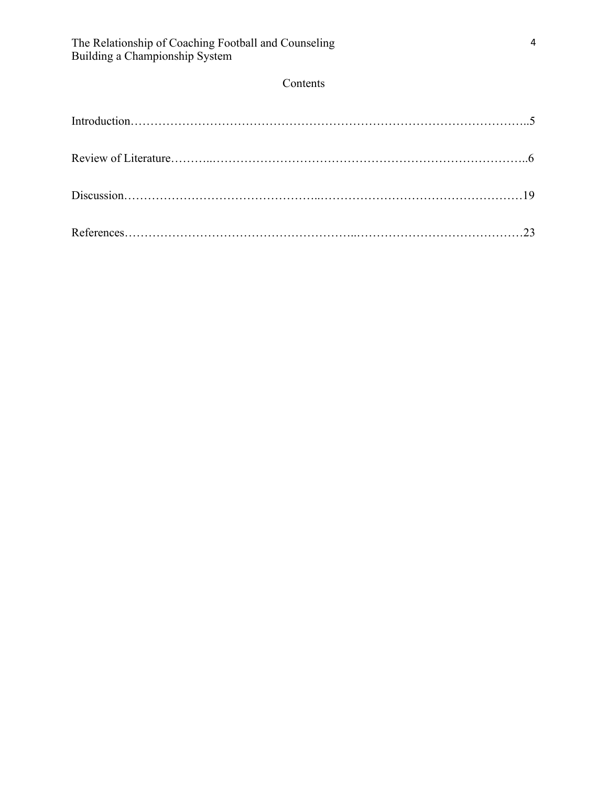# Contents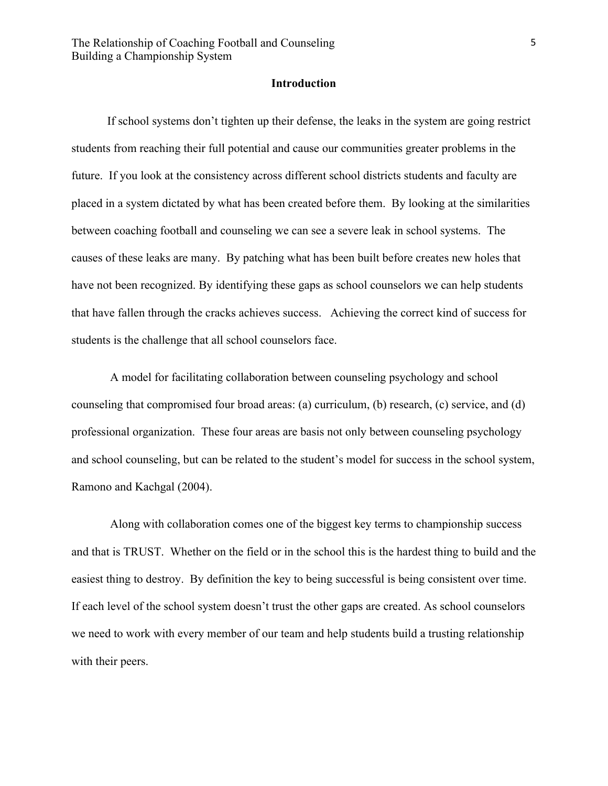#### **Introduction**

If school systems don't tighten up their defense, the leaks in the system are going restrict students from reaching their full potential and cause our communities greater problems in the future. If you look at the consistency across different school districts students and faculty are placed in a system dictated by what has been created before them. By looking at the similarities between coaching football and counseling we can see a severe leak in school systems. The causes of these leaks are many. By patching what has been built before creates new holes that have not been recognized. By identifying these gaps as school counselors we can help students that have fallen through the cracks achieves success. Achieving the correct kind of success for students is the challenge that all school counselors face.

A model for facilitating collaboration between counseling psychology and school counseling that compromised four broad areas: (a) curriculum, (b) research, (c) service, and (d) professional organization. These four areas are basis not only between counseling psychology and school counseling, but can be related to the student's model for success in the school system, Ramono and Kachgal (2004).

Along with collaboration comes one of the biggest key terms to championship success and that is TRUST. Whether on the field or in the school this is the hardest thing to build and the easiest thing to destroy. By definition the key to being successful is being consistent over time. If each level of the school system doesn't trust the other gaps are created. As school counselors we need to work with every member of our team and help students build a trusting relationship with their peers.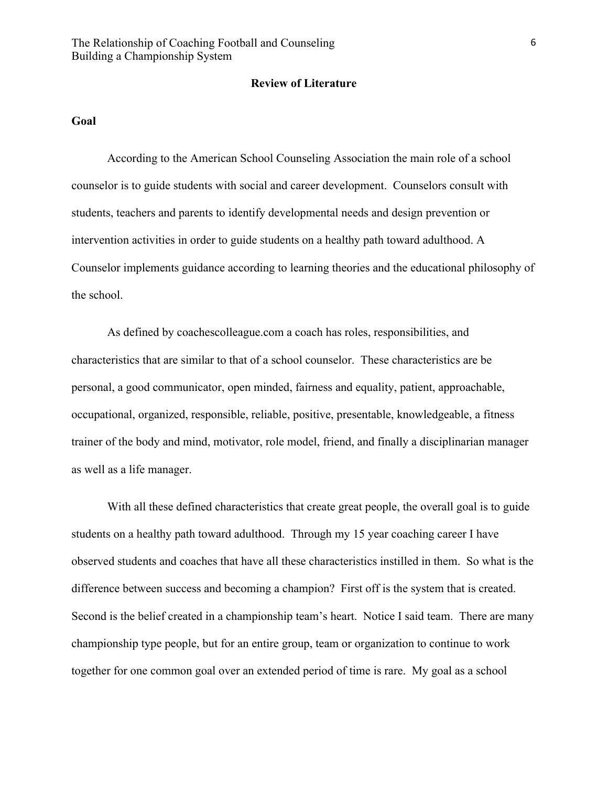#### **Review of Literature**

#### **Goal**

According to the American School Counseling Association the main role of a school counselor is to guide students with social and career development. Counselors consult with students, teachers and parents to identify developmental needs and design prevention or intervention activities in order to guide students on a healthy path toward adulthood. A Counselor implements guidance according to learning theories and the educational philosophy of the school.

As defined by coachescolleague.com a coach has roles, responsibilities, and characteristics that are similar to that of a school counselor. These characteristics are be personal, a good communicator, open minded, fairness and equality, patient, approachable, occupational, organized, responsible, reliable, positive, presentable, knowledgeable, a fitness trainer of the body and mind, motivator, role model, friend, and finally a disciplinarian manager as well as a life manager.

With all these defined characteristics that create great people, the overall goal is to guide students on a healthy path toward adulthood. Through my 15 year coaching career I have observed students and coaches that have all these characteristics instilled in them. So what is the difference between success and becoming a champion? First off is the system that is created. Second is the belief created in a championship team's heart. Notice I said team. There are many championship type people, but for an entire group, team or organization to continue to work together for one common goal over an extended period of time is rare. My goal as a school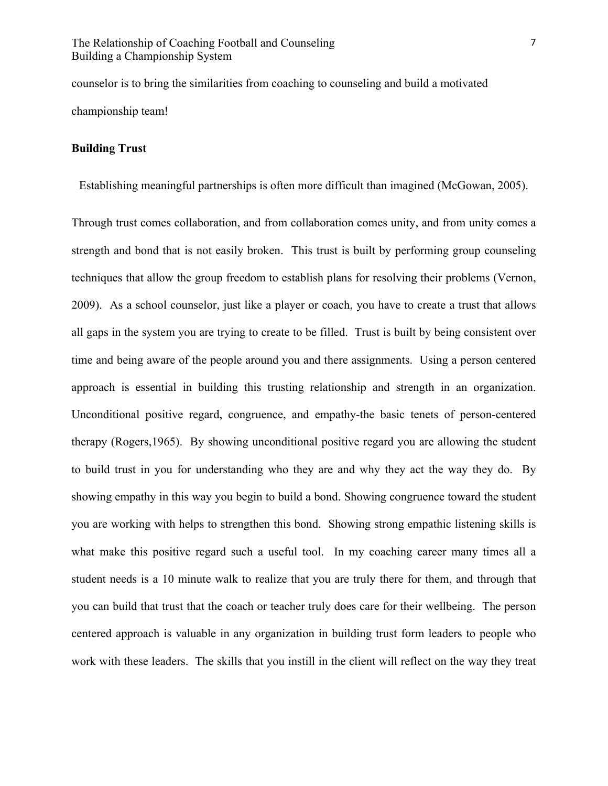counselor is to bring the similarities from coaching to counseling and build a motivated championship team!

## **Building Trust**

Establishing meaningful partnerships is often more difficult than imagined (McGowan, 2005).

Through trust comes collaboration, and from collaboration comes unity, and from unity comes a strength and bond that is not easily broken. This trust is built by performing group counseling techniques that allow the group freedom to establish plans for resolving their problems (Vernon, 2009). As a school counselor, just like a player or coach, you have to create a trust that allows all gaps in the system you are trying to create to be filled. Trust is built by being consistent over time and being aware of the people around you and there assignments. Using a person centered approach is essential in building this trusting relationship and strength in an organization. Unconditional positive regard, congruence, and empathy-the basic tenets of person-centered therapy (Rogers,1965). By showing unconditional positive regard you are allowing the student to build trust in you for understanding who they are and why they act the way they do. By showing empathy in this way you begin to build a bond. Showing congruence toward the student you are working with helps to strengthen this bond. Showing strong empathic listening skills is what make this positive regard such a useful tool. In my coaching career many times all a student needs is a 10 minute walk to realize that you are truly there for them, and through that you can build that trust that the coach or teacher truly does care for their wellbeing. The person centered approach is valuable in any organization in building trust form leaders to people who work with these leaders. The skills that you instill in the client will reflect on the way they treat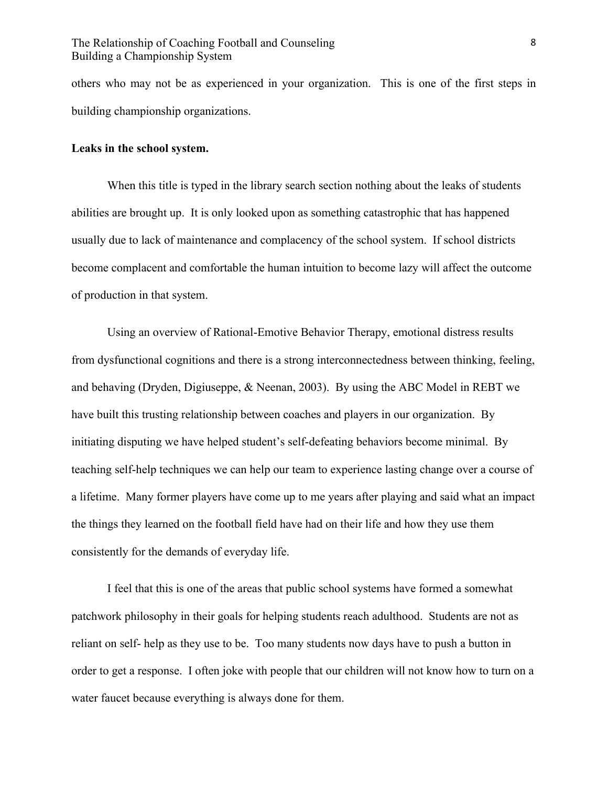others who may not be as experienced in your organization. This is one of the first steps in building championship organizations.

#### **Leaks in the school system.**

When this title is typed in the library search section nothing about the leaks of students abilities are brought up. It is only looked upon as something catastrophic that has happened usually due to lack of maintenance and complacency of the school system. If school districts become complacent and comfortable the human intuition to become lazy will affect the outcome of production in that system.

Using an overview of Rational-Emotive Behavior Therapy, emotional distress results from dysfunctional cognitions and there is a strong interconnectedness between thinking, feeling, and behaving (Dryden, Digiuseppe, & Neenan, 2003). By using the ABC Model in REBT we have built this trusting relationship between coaches and players in our organization. By initiating disputing we have helped student's self-defeating behaviors become minimal. By teaching self-help techniques we can help our team to experience lasting change over a course of a lifetime. Many former players have come up to me years after playing and said what an impact the things they learned on the football field have had on their life and how they use them consistently for the demands of everyday life.

I feel that this is one of the areas that public school systems have formed a somewhat patchwork philosophy in their goals for helping students reach adulthood. Students are not as reliant on self- help as they use to be. Too many students now days have to push a button in order to get a response. I often joke with people that our children will not know how to turn on a water faucet because everything is always done for them.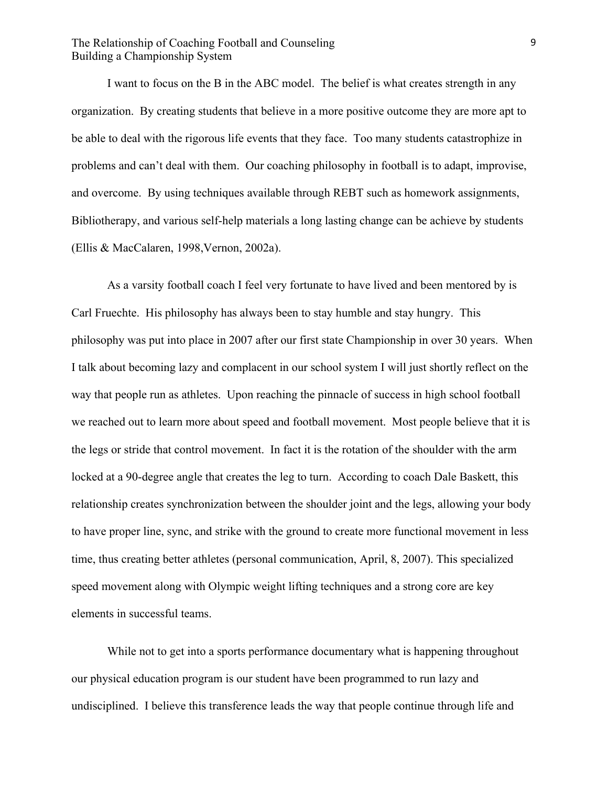I want to focus on the B in the ABC model. The belief is what creates strength in any organization. By creating students that believe in a more positive outcome they are more apt to be able to deal with the rigorous life events that they face. Too many students catastrophize in problems and can't deal with them. Our coaching philosophy in football is to adapt, improvise, and overcome. By using techniques available through REBT such as homework assignments, Bibliotherapy, and various self-help materials a long lasting change can be achieve by students (Ellis & MacCalaren, 1998,Vernon, 2002a).

As a varsity football coach I feel very fortunate to have lived and been mentored by is Carl Fruechte. His philosophy has always been to stay humble and stay hungry. This philosophy was put into place in 2007 after our first state Championship in over 30 years. When I talk about becoming lazy and complacent in our school system I will just shortly reflect on the way that people run as athletes. Upon reaching the pinnacle of success in high school football we reached out to learn more about speed and football movement. Most people believe that it is the legs or stride that control movement. In fact it is the rotation of the shoulder with the arm locked at a 90-degree angle that creates the leg to turn. According to coach Dale Baskett, this relationship creates synchronization between the shoulder joint and the legs, allowing your body to have proper line, sync, and strike with the ground to create more functional movement in less time, thus creating better athletes (personal communication, April, 8, 2007). This specialized speed movement along with Olympic weight lifting techniques and a strong core are key elements in successful teams.

While not to get into a sports performance documentary what is happening throughout our physical education program is our student have been programmed to run lazy and undisciplined. I believe this transference leads the way that people continue through life and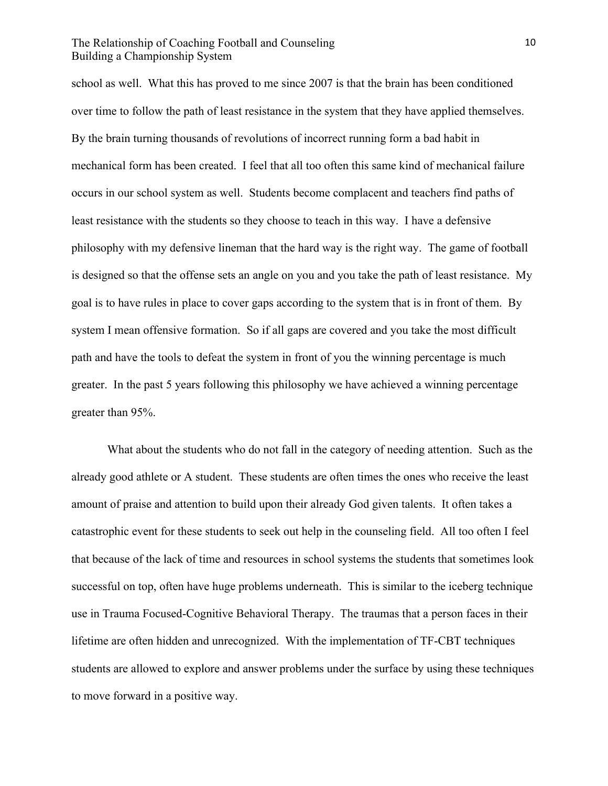school as well. What this has proved to me since 2007 is that the brain has been conditioned over time to follow the path of least resistance in the system that they have applied themselves. By the brain turning thousands of revolutions of incorrect running form a bad habit in mechanical form has been created. I feel that all too often this same kind of mechanical failure occurs in our school system as well. Students become complacent and teachers find paths of least resistance with the students so they choose to teach in this way. I have a defensive philosophy with my defensive lineman that the hard way is the right way. The game of football is designed so that the offense sets an angle on you and you take the path of least resistance. My goal is to have rules in place to cover gaps according to the system that is in front of them. By system I mean offensive formation. So if all gaps are covered and you take the most difficult path and have the tools to defeat the system in front of you the winning percentage is much greater. In the past 5 years following this philosophy we have achieved a winning percentage greater than 95%.

What about the students who do not fall in the category of needing attention. Such as the already good athlete or A student. These students are often times the ones who receive the least amount of praise and attention to build upon their already God given talents. It often takes a catastrophic event for these students to seek out help in the counseling field. All too often I feel that because of the lack of time and resources in school systems the students that sometimes look successful on top, often have huge problems underneath. This is similar to the iceberg technique use in Trauma Focused-Cognitive Behavioral Therapy. The traumas that a person faces in their lifetime are often hidden and unrecognized. With the implementation of TF-CBT techniques students are allowed to explore and answer problems under the surface by using these techniques to move forward in a positive way.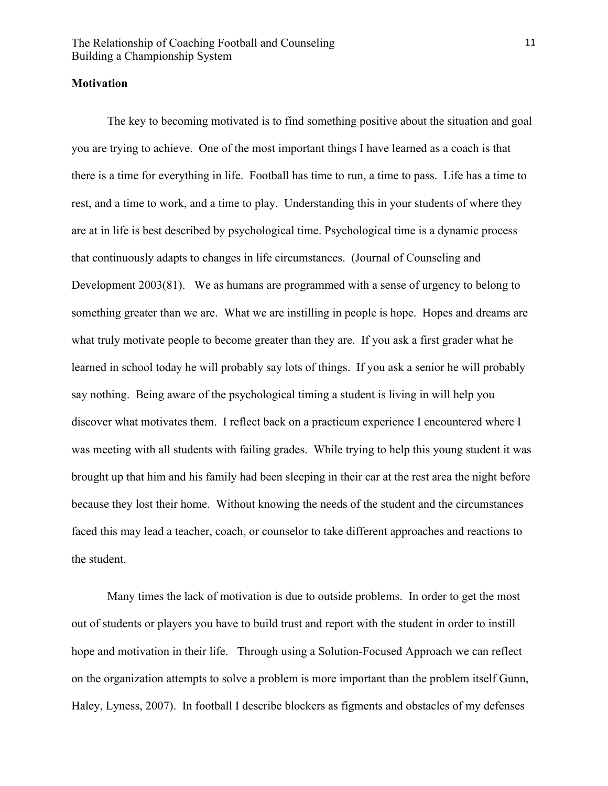#### **Motivation**

The key to becoming motivated is to find something positive about the situation and goal you are trying to achieve. One of the most important things I have learned as a coach is that there is a time for everything in life. Football has time to run, a time to pass. Life has a time to rest, and a time to work, and a time to play. Understanding this in your students of where they are at in life is best described by psychological time. Psychological time is a dynamic process that continuously adapts to changes in life circumstances. (Journal of Counseling and Development 2003(81). We as humans are programmed with a sense of urgency to belong to something greater than we are. What we are instilling in people is hope. Hopes and dreams are what truly motivate people to become greater than they are. If you ask a first grader what he learned in school today he will probably say lots of things. If you ask a senior he will probably say nothing. Being aware of the psychological timing a student is living in will help you discover what motivates them. I reflect back on a practicum experience I encountered where I was meeting with all students with failing grades. While trying to help this young student it was brought up that him and his family had been sleeping in their car at the rest area the night before because they lost their home. Without knowing the needs of the student and the circumstances faced this may lead a teacher, coach, or counselor to take different approaches and reactions to the student.

Many times the lack of motivation is due to outside problems. In order to get the most out of students or players you have to build trust and report with the student in order to instill hope and motivation in their life. Through using a Solution-Focused Approach we can reflect on the organization attempts to solve a problem is more important than the problem itself Gunn, Haley, Lyness, 2007). In football I describe blockers as figments and obstacles of my defenses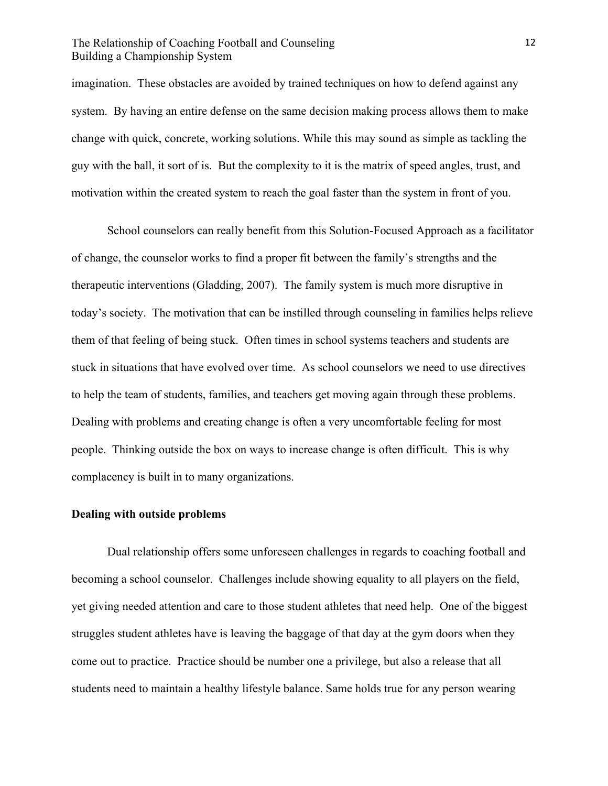imagination. These obstacles are avoided by trained techniques on how to defend against any system. By having an entire defense on the same decision making process allows them to make change with quick, concrete, working solutions. While this may sound as simple as tackling the guy with the ball, it sort of is. But the complexity to it is the matrix of speed angles, trust, and motivation within the created system to reach the goal faster than the system in front of you.

School counselors can really benefit from this Solution-Focused Approach as a facilitator of change, the counselor works to find a proper fit between the family's strengths and the therapeutic interventions (Gladding, 2007). The family system is much more disruptive in today's society. The motivation that can be instilled through counseling in families helps relieve them of that feeling of being stuck. Often times in school systems teachers and students are stuck in situations that have evolved over time. As school counselors we need to use directives to help the team of students, families, and teachers get moving again through these problems. Dealing with problems and creating change is often a very uncomfortable feeling for most people. Thinking outside the box on ways to increase change is often difficult. This is why complacency is built in to many organizations.

# **Dealing with outside problems**

Dual relationship offers some unforeseen challenges in regards to coaching football and becoming a school counselor. Challenges include showing equality to all players on the field, yet giving needed attention and care to those student athletes that need help. One of the biggest struggles student athletes have is leaving the baggage of that day at the gym doors when they come out to practice. Practice should be number one a privilege, but also a release that all students need to maintain a healthy lifestyle balance. Same holds true for any person wearing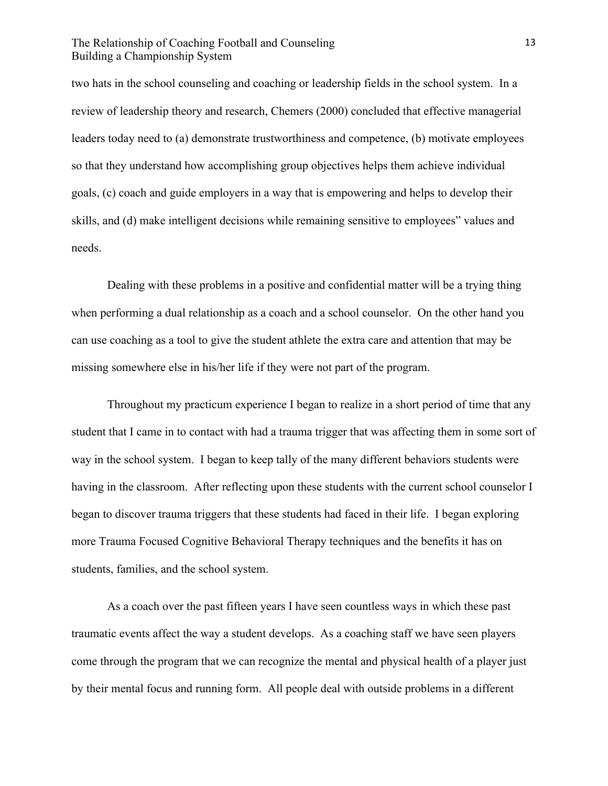two hats in the school counseling and coaching or leadership fields in the school system. In a review of leadership theory and research, Chemers (2000) concluded that effective managerial leaders today need to (a) demonstrate trustworthiness and competence, (b) motivate employees so that they understand how accomplishing group objectives helps them achieve individual goals, (c) coach and guide employers in a way that is empowering and helps to develop their skills, and (d) make intelligent decisions while remaining sensitive to employees" values and needs.

Dealing with these problems in a positive and confidential matter will be a trying thing when performing a dual relationship as a coach and a school counselor. On the other hand you can use coaching as a tool to give the student athlete the extra care and attention that may be missing somewhere else in his/her life if they were not part of the program.

Throughout my practicum experience I began to realize in a short period of time that any student that I came in to contact with had a trauma trigger that was affecting them in some sort of way in the school system. I began to keep tally of the many different behaviors students were having in the classroom. After reflecting upon these students with the current school counselor I began to discover trauma triggers that these students had faced in their life. I began exploring more Trauma Focused Cognitive Behavioral Therapy techniques and the benefits it has on students, families, and the school system.

As a coach over the past fifteen years I have seen countless ways in which these past traumatic events affect the way a student develops. As a coaching staff we have seen players come through the program that we can recognize the mental and physical health of a player just by their mental focus and running form. All people deal with outside problems in a different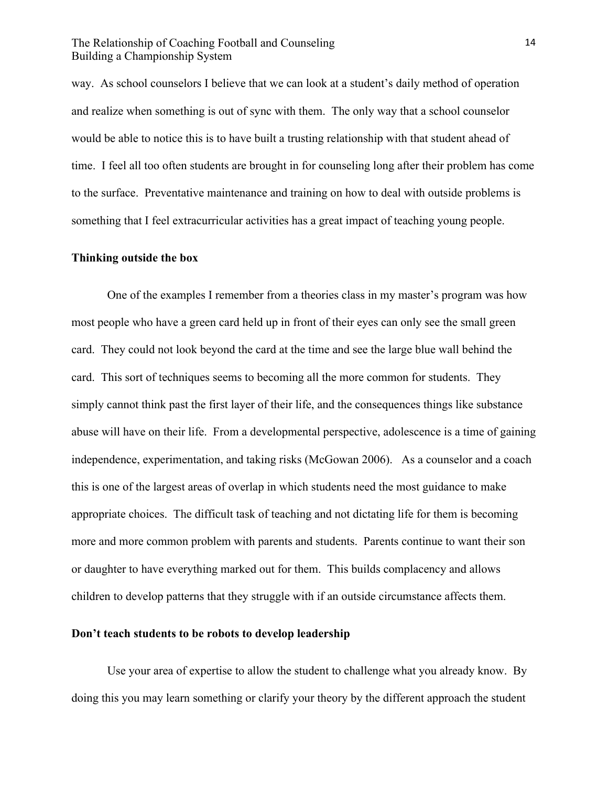way. As school counselors I believe that we can look at a student's daily method of operation and realize when something is out of sync with them. The only way that a school counselor would be able to notice this is to have built a trusting relationship with that student ahead of time. I feel all too often students are brought in for counseling long after their problem has come to the surface. Preventative maintenance and training on how to deal with outside problems is something that I feel extracurricular activities has a great impact of teaching young people.

#### **Thinking outside the box**

One of the examples I remember from a theories class in my master's program was how most people who have a green card held up in front of their eyes can only see the small green card. They could not look beyond the card at the time and see the large blue wall behind the card. This sort of techniques seems to becoming all the more common for students. They simply cannot think past the first layer of their life, and the consequences things like substance abuse will have on their life. From a developmental perspective, adolescence is a time of gaining independence, experimentation, and taking risks (McGowan 2006). As a counselor and a coach this is one of the largest areas of overlap in which students need the most guidance to make appropriate choices. The difficult task of teaching and not dictating life for them is becoming more and more common problem with parents and students. Parents continue to want their son or daughter to have everything marked out for them. This builds complacency and allows children to develop patterns that they struggle with if an outside circumstance affects them.

#### **Don't teach students to be robots to develop leadership**

Use your area of expertise to allow the student to challenge what you already know. By doing this you may learn something or clarify your theory by the different approach the student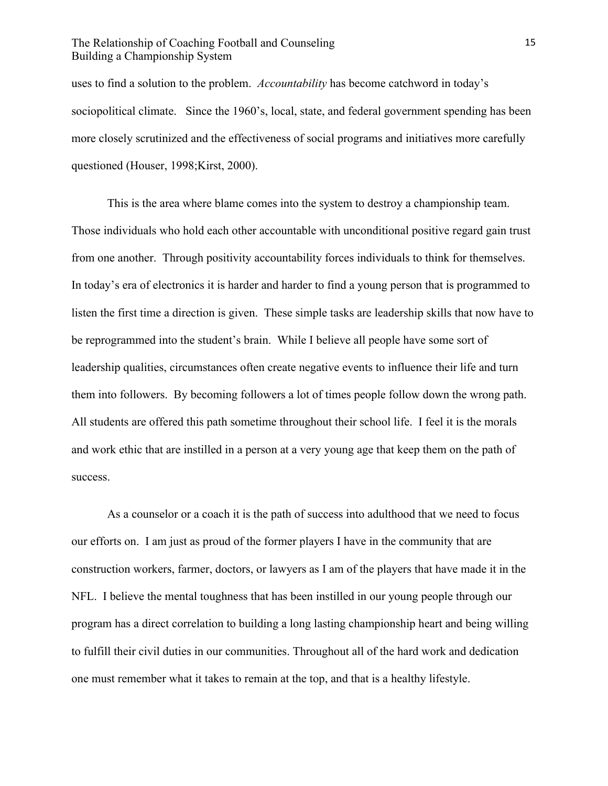uses to find a solution to the problem. *Accountability* has become catchword in today's sociopolitical climate. Since the 1960's, local, state, and federal government spending has been more closely scrutinized and the effectiveness of social programs and initiatives more carefully questioned (Houser, 1998;Kirst, 2000).

This is the area where blame comes into the system to destroy a championship team. Those individuals who hold each other accountable with unconditional positive regard gain trust from one another. Through positivity accountability forces individuals to think for themselves. In today's era of electronics it is harder and harder to find a young person that is programmed to listen the first time a direction is given. These simple tasks are leadership skills that now have to be reprogrammed into the student's brain. While I believe all people have some sort of leadership qualities, circumstances often create negative events to influence their life and turn them into followers. By becoming followers a lot of times people follow down the wrong path. All students are offered this path sometime throughout their school life. I feel it is the morals and work ethic that are instilled in a person at a very young age that keep them on the path of success.

As a counselor or a coach it is the path of success into adulthood that we need to focus our efforts on. I am just as proud of the former players I have in the community that are construction workers, farmer, doctors, or lawyers as I am of the players that have made it in the NFL. I believe the mental toughness that has been instilled in our young people through our program has a direct correlation to building a long lasting championship heart and being willing to fulfill their civil duties in our communities. Throughout all of the hard work and dedication one must remember what it takes to remain at the top, and that is a healthy lifestyle.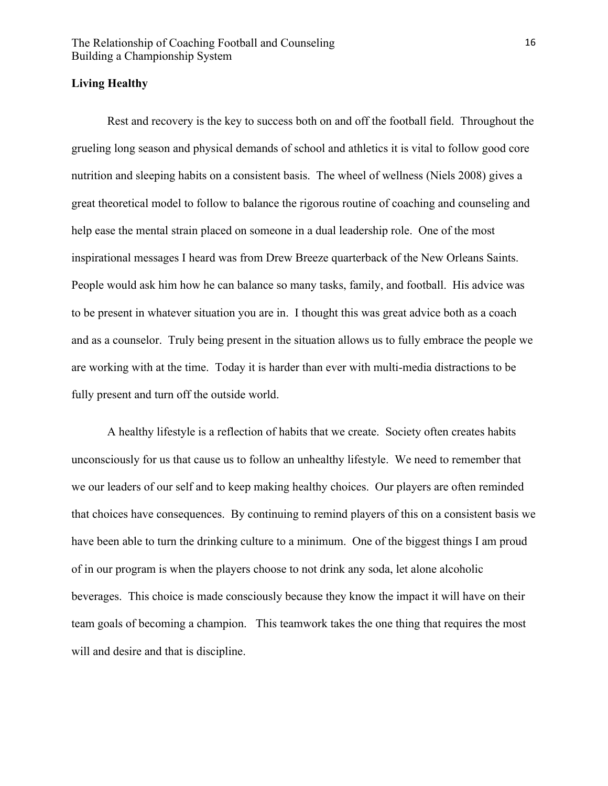#### **Living Healthy**

Rest and recovery is the key to success both on and off the football field. Throughout the grueling long season and physical demands of school and athletics it is vital to follow good core nutrition and sleeping habits on a consistent basis. The wheel of wellness (Niels 2008) gives a great theoretical model to follow to balance the rigorous routine of coaching and counseling and help ease the mental strain placed on someone in a dual leadership role. One of the most inspirational messages I heard was from Drew Breeze quarterback of the New Orleans Saints. People would ask him how he can balance so many tasks, family, and football. His advice was to be present in whatever situation you are in. I thought this was great advice both as a coach and as a counselor. Truly being present in the situation allows us to fully embrace the people we are working with at the time. Today it is harder than ever with multi-media distractions to be fully present and turn off the outside world.

A healthy lifestyle is a reflection of habits that we create. Society often creates habits unconsciously for us that cause us to follow an unhealthy lifestyle. We need to remember that we our leaders of our self and to keep making healthy choices. Our players are often reminded that choices have consequences. By continuing to remind players of this on a consistent basis we have been able to turn the drinking culture to a minimum. One of the biggest things I am proud of in our program is when the players choose to not drink any soda, let alone alcoholic beverages. This choice is made consciously because they know the impact it will have on their team goals of becoming a champion. This teamwork takes the one thing that requires the most will and desire and that is discipline.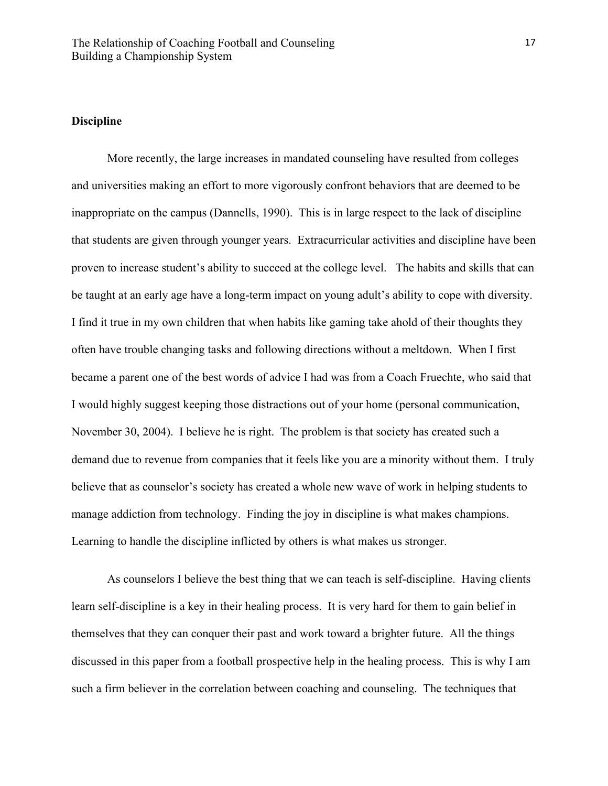## **Discipline**

More recently, the large increases in mandated counseling have resulted from colleges and universities making an effort to more vigorously confront behaviors that are deemed to be inappropriate on the campus (Dannells, 1990). This is in large respect to the lack of discipline that students are given through younger years. Extracurricular activities and discipline have been proven to increase student's ability to succeed at the college level. The habits and skills that can be taught at an early age have a long-term impact on young adult's ability to cope with diversity. I find it true in my own children that when habits like gaming take ahold of their thoughts they often have trouble changing tasks and following directions without a meltdown. When I first became a parent one of the best words of advice I had was from a Coach Fruechte, who said that I would highly suggest keeping those distractions out of your home (personal communication, November 30, 2004). I believe he is right. The problem is that society has created such a demand due to revenue from companies that it feels like you are a minority without them. I truly believe that as counselor's society has created a whole new wave of work in helping students to manage addiction from technology. Finding the joy in discipline is what makes champions. Learning to handle the discipline inflicted by others is what makes us stronger.

As counselors I believe the best thing that we can teach is self-discipline. Having clients learn self-discipline is a key in their healing process. It is very hard for them to gain belief in themselves that they can conquer their past and work toward a brighter future. All the things discussed in this paper from a football prospective help in the healing process. This is why I am such a firm believer in the correlation between coaching and counseling. The techniques that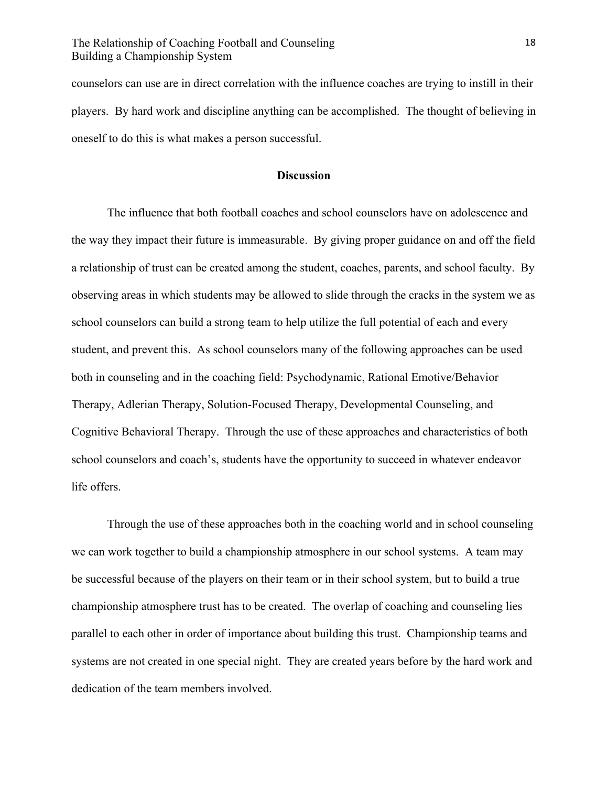counselors can use are in direct correlation with the influence coaches are trying to instill in their players. By hard work and discipline anything can be accomplished. The thought of believing in oneself to do this is what makes a person successful.

#### **Discussion**

The influence that both football coaches and school counselors have on adolescence and the way they impact their future is immeasurable. By giving proper guidance on and off the field a relationship of trust can be created among the student, coaches, parents, and school faculty. By observing areas in which students may be allowed to slide through the cracks in the system we as school counselors can build a strong team to help utilize the full potential of each and every student, and prevent this. As school counselors many of the following approaches can be used both in counseling and in the coaching field: Psychodynamic, Rational Emotive/Behavior Therapy, Adlerian Therapy, Solution-Focused Therapy, Developmental Counseling, and Cognitive Behavioral Therapy. Through the use of these approaches and characteristics of both school counselors and coach's, students have the opportunity to succeed in whatever endeavor life offers.

Through the use of these approaches both in the coaching world and in school counseling we can work together to build a championship atmosphere in our school systems. A team may be successful because of the players on their team or in their school system, but to build a true championship atmosphere trust has to be created. The overlap of coaching and counseling lies parallel to each other in order of importance about building this trust. Championship teams and systems are not created in one special night. They are created years before by the hard work and dedication of the team members involved.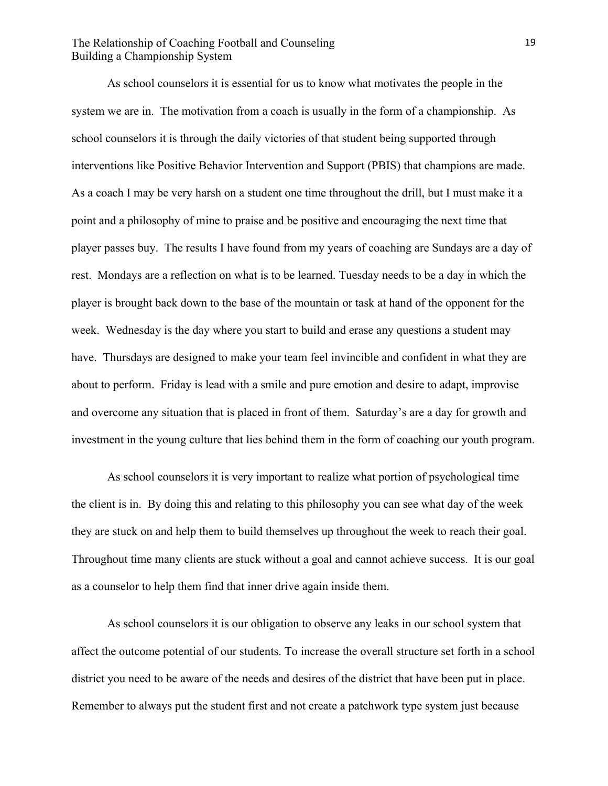As school counselors it is essential for us to know what motivates the people in the system we are in. The motivation from a coach is usually in the form of a championship. As school counselors it is through the daily victories of that student being supported through interventions like Positive Behavior Intervention and Support (PBIS) that champions are made. As a coach I may be very harsh on a student one time throughout the drill, but I must make it a point and a philosophy of mine to praise and be positive and encouraging the next time that player passes buy. The results I have found from my years of coaching are Sundays are a day of rest. Mondays are a reflection on what is to be learned. Tuesday needs to be a day in which the player is brought back down to the base of the mountain or task at hand of the opponent for the week. Wednesday is the day where you start to build and erase any questions a student may have. Thursdays are designed to make your team feel invincible and confident in what they are about to perform. Friday is lead with a smile and pure emotion and desire to adapt, improvise and overcome any situation that is placed in front of them. Saturday's are a day for growth and investment in the young culture that lies behind them in the form of coaching our youth program.

As school counselors it is very important to realize what portion of psychological time the client is in. By doing this and relating to this philosophy you can see what day of the week they are stuck on and help them to build themselves up throughout the week to reach their goal. Throughout time many clients are stuck without a goal and cannot achieve success. It is our goal as a counselor to help them find that inner drive again inside them.

As school counselors it is our obligation to observe any leaks in our school system that affect the outcome potential of our students. To increase the overall structure set forth in a school district you need to be aware of the needs and desires of the district that have been put in place. Remember to always put the student first and not create a patchwork type system just because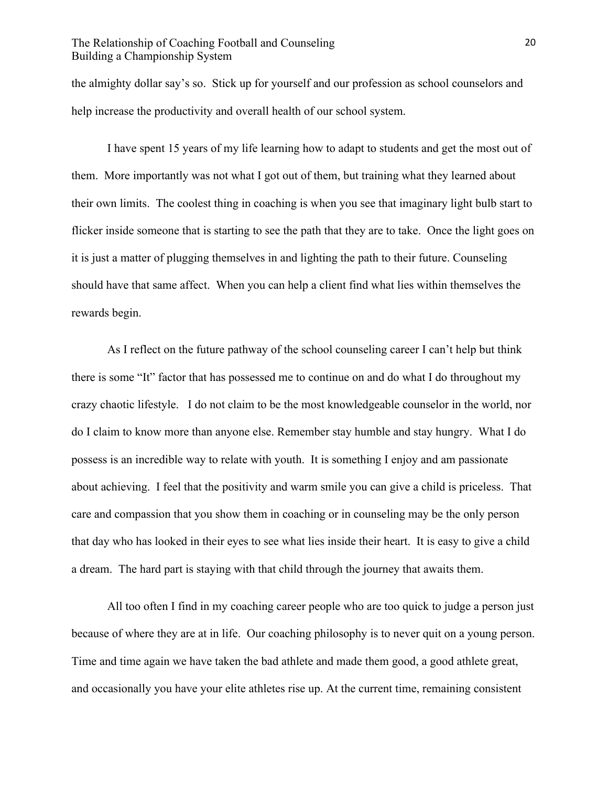the almighty dollar say's so. Stick up for yourself and our profession as school counselors and help increase the productivity and overall health of our school system.

I have spent 15 years of my life learning how to adapt to students and get the most out of them. More importantly was not what I got out of them, but training what they learned about their own limits. The coolest thing in coaching is when you see that imaginary light bulb start to flicker inside someone that is starting to see the path that they are to take. Once the light goes on it is just a matter of plugging themselves in and lighting the path to their future. Counseling should have that same affect. When you can help a client find what lies within themselves the rewards begin.

As I reflect on the future pathway of the school counseling career I can't help but think there is some "It" factor that has possessed me to continue on and do what I do throughout my crazy chaotic lifestyle. I do not claim to be the most knowledgeable counselor in the world, nor do I claim to know more than anyone else. Remember stay humble and stay hungry. What I do possess is an incredible way to relate with youth. It is something I enjoy and am passionate about achieving. I feel that the positivity and warm smile you can give a child is priceless. That care and compassion that you show them in coaching or in counseling may be the only person that day who has looked in their eyes to see what lies inside their heart. It is easy to give a child a dream. The hard part is staying with that child through the journey that awaits them.

All too often I find in my coaching career people who are too quick to judge a person just because of where they are at in life. Our coaching philosophy is to never quit on a young person. Time and time again we have taken the bad athlete and made them good, a good athlete great, and occasionally you have your elite athletes rise up. At the current time, remaining consistent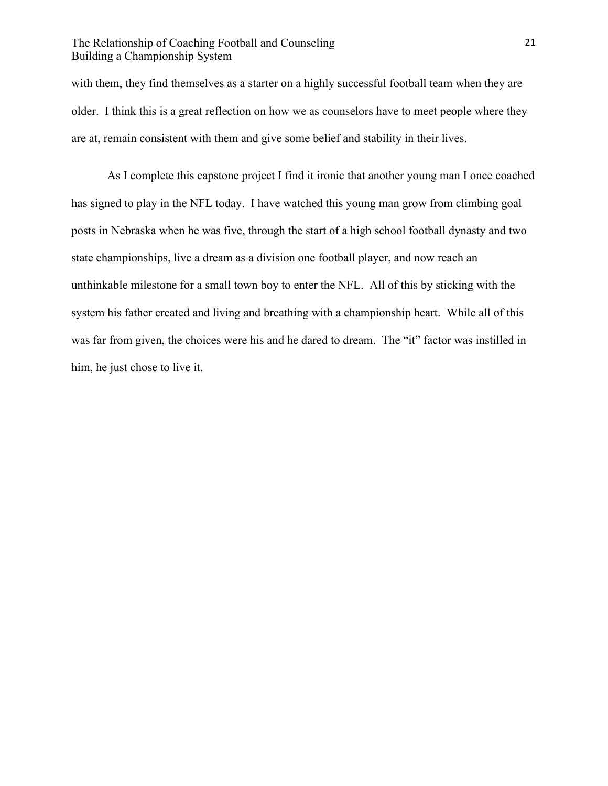with them, they find themselves as a starter on a highly successful football team when they are older. I think this is a great reflection on how we as counselors have to meet people where they are at, remain consistent with them and give some belief and stability in their lives.

As I complete this capstone project I find it ironic that another young man I once coached has signed to play in the NFL today. I have watched this young man grow from climbing goal posts in Nebraska when he was five, through the start of a high school football dynasty and two state championships, live a dream as a division one football player, and now reach an unthinkable milestone for a small town boy to enter the NFL. All of this by sticking with the system his father created and living and breathing with a championship heart. While all of this was far from given, the choices were his and he dared to dream. The "it" factor was instilled in him, he just chose to live it.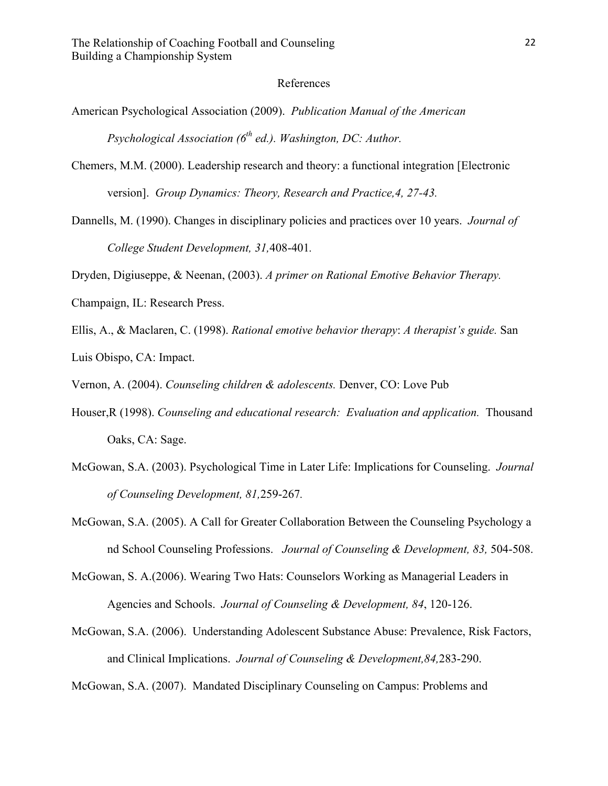#### References

American Psychological Association (2009). *Publication Manual of the American Psychological Association (6th ed.). Washington, DC: Author.*

Chemers, M.M. (2000). Leadership research and theory: a functional integration [Electronic version]. *Group Dynamics: Theory, Research and Practice,4, 27-43.*

Dannells, M. (1990). Changes in disciplinary policies and practices over 10 years. *Journal of College Student Development, 31,*408-401*.*

Dryden, Digiuseppe, & Neenan, (2003). *A primer on Rational Emotive Behavior Therapy.* 

Champaign, IL: Research Press.

Ellis, A., & Maclaren, C. (1998). *Rational emotive behavior therapy*: *A therapist's guide.* San Luis Obispo, CA: Impact.

Vernon, A. (2004). *Counseling children & adolescents.* Denver, CO: Love Pub

- Houser,R (1998). *Counseling and educational research: Evaluation and application.* Thousand Oaks, CA: Sage.
- McGowan, S.A. (2003). Psychological Time in Later Life: Implications for Counseling. *Journal of Counseling Development, 81,*259-267*.*

McGowan, S.A. (2005). A Call for Greater Collaboration Between the Counseling Psychology a nd School Counseling Professions. *Journal of Counseling & Development, 83,* 504-508.

McGowan, S. A.(2006). Wearing Two Hats: Counselors Working as Managerial Leaders in Agencies and Schools. *Journal of Counseling & Development, 84*, 120-126.

McGowan, S.A. (2006). Understanding Adolescent Substance Abuse: Prevalence, Risk Factors, and Clinical Implications. *Journal of Counseling & Development,84,*283-290.

McGowan, S.A. (2007). Mandated Disciplinary Counseling on Campus: Problems and